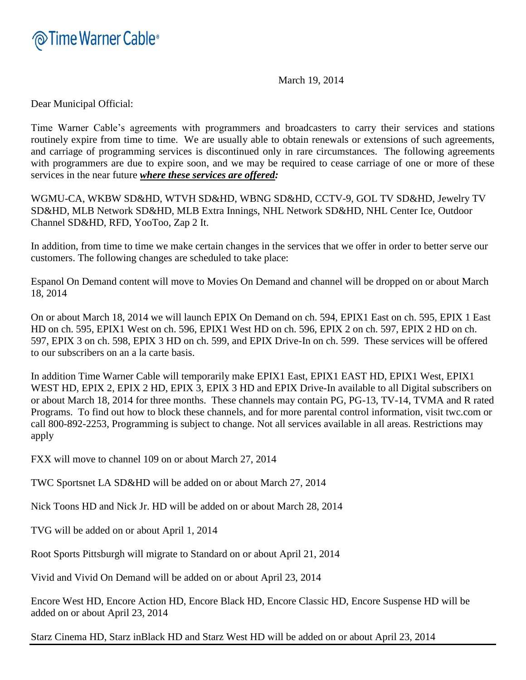

March 19, 2014

Dear Municipal Official:

Time Warner Cable's agreements with programmers and broadcasters to carry their services and stations routinely expire from time to time. We are usually able to obtain renewals or extensions of such agreements, and carriage of programming services is discontinued only in rare circumstances. The following agreements with programmers are due to expire soon, and we may be required to cease carriage of one or more of these services in the near future *where these services are offered:*

WGMU-CA, WKBW SD&HD, WTVH SD&HD, WBNG SD&HD, CCTV-9, GOL TV SD&HD, Jewelry TV SD&HD, MLB Network SD&HD, MLB Extra Innings, NHL Network SD&HD, NHL Center Ice, Outdoor Channel SD&HD, RFD, YooToo, Zap 2 It.

In addition, from time to time we make certain changes in the services that we offer in order to better serve our customers. The following changes are scheduled to take place:

Espanol On Demand content will move to Movies On Demand and channel will be dropped on or about March 18, 2014

On or about March 18, 2014 we will launch EPIX On Demand on ch. 594, EPIX1 East on ch. 595, EPIX 1 East HD on ch. 595, EPIX1 West on ch. 596, EPIX1 West HD on ch. 596, EPIX 2 on ch. 597, EPIX 2 HD on ch. 597, EPIX 3 on ch. 598, EPIX 3 HD on ch. 599, and EPIX Drive-In on ch. 599. These services will be offered to our subscribers on an a la carte basis.

In addition Time Warner Cable will temporarily make EPIX1 East, EPIX1 EAST HD, EPIX1 West, EPIX1 WEST HD, EPIX 2, EPIX 2 HD, EPIX 3, EPIX 3 HD and EPIX Drive-In available to all Digital subscribers on or about March 18, 2014 for three months. These channels may contain PG, PG-13, TV-14, TVMA and R rated Programs. To find out how to block these channels, and for more parental control information, visit twc.com or call 800-892-2253, Programming is subject to change. Not all services available in all areas. Restrictions may apply

FXX will move to channel 109 on or about March 27, 2014

TWC Sportsnet LA SD&HD will be added on or about March 27, 2014

Nick Toons HD and Nick Jr. HD will be added on or about March 28, 2014

TVG will be added on or about April 1, 2014

Root Sports Pittsburgh will migrate to Standard on or about April 21, 2014

Vivid and Vivid On Demand will be added on or about April 23, 2014

Encore West HD, Encore Action HD, Encore Black HD, Encore Classic HD, Encore Suspense HD will be added on or about April 23, 2014

Starz Cinema HD, Starz inBlack HD and Starz West HD will be added on or about April 23, 2014